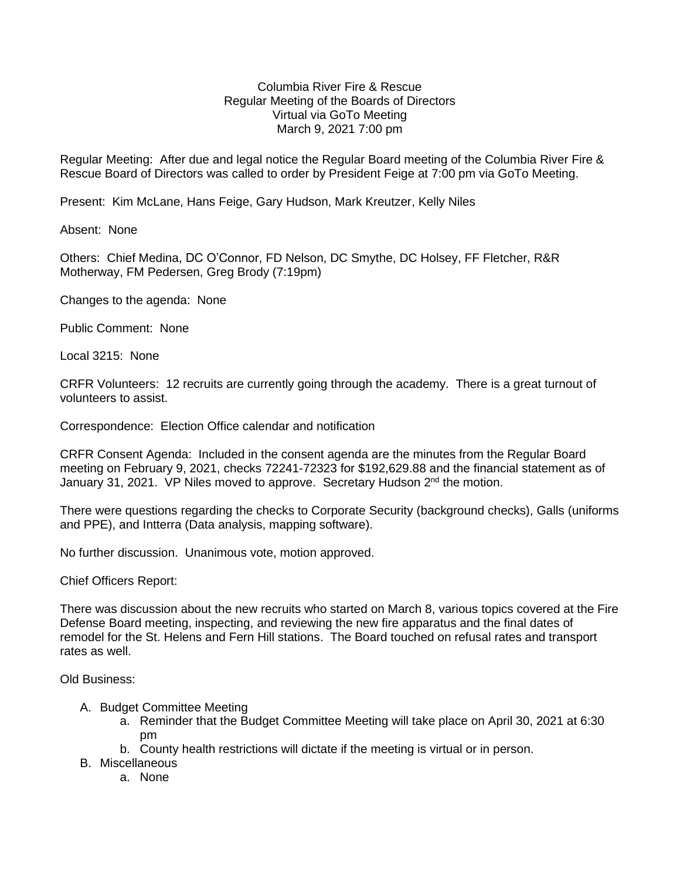## Columbia River Fire & Rescue Regular Meeting of the Boards of Directors Virtual via GoTo Meeting March 9, 2021 7:00 pm

Regular Meeting: After due and legal notice the Regular Board meeting of the Columbia River Fire & Rescue Board of Directors was called to order by President Feige at 7:00 pm via GoTo Meeting.

Present: Kim McLane, Hans Feige, Gary Hudson, Mark Kreutzer, Kelly Niles

Absent: None

Others: Chief Medina, DC O'Connor, FD Nelson, DC Smythe, DC Holsey, FF Fletcher, R&R Motherway, FM Pedersen, Greg Brody (7:19pm)

Changes to the agenda: None

Public Comment: None

Local 3215: None

CRFR Volunteers: 12 recruits are currently going through the academy. There is a great turnout of volunteers to assist.

Correspondence: Election Office calendar and notification

CRFR Consent Agenda: Included in the consent agenda are the minutes from the Regular Board meeting on February 9, 2021, checks 72241-72323 for \$192,629.88 and the financial statement as of January 31, 2021. VP Niles moved to approve. Secretary Hudson 2<sup>nd</sup> the motion.

There were questions regarding the checks to Corporate Security (background checks), Galls (uniforms and PPE), and Intterra (Data analysis, mapping software).

No further discussion. Unanimous vote, motion approved.

Chief Officers Report:

There was discussion about the new recruits who started on March 8, various topics covered at the Fire Defense Board meeting, inspecting, and reviewing the new fire apparatus and the final dates of remodel for the St. Helens and Fern Hill stations. The Board touched on refusal rates and transport rates as well.

Old Business:

- A. Budget Committee Meeting
	- a. Reminder that the Budget Committee Meeting will take place on April 30, 2021 at 6:30 pm
	- b. County health restrictions will dictate if the meeting is virtual or in person.
- B. Miscellaneous
	- a. None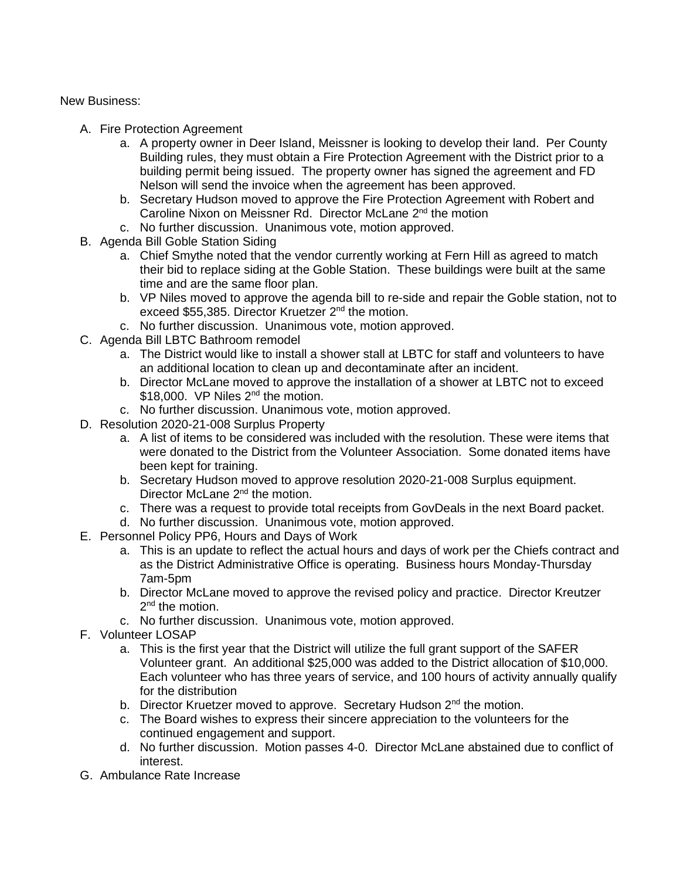New Business:

- A. Fire Protection Agreement
	- a. A property owner in Deer Island, Meissner is looking to develop their land. Per County Building rules, they must obtain a Fire Protection Agreement with the District prior to a building permit being issued. The property owner has signed the agreement and FD Nelson will send the invoice when the agreement has been approved.
	- b. Secretary Hudson moved to approve the Fire Protection Agreement with Robert and Caroline Nixon on Meissner Rd. Director McLane 2<sup>nd</sup> the motion
	- c. No further discussion. Unanimous vote, motion approved.
- B. Agenda Bill Goble Station Siding
	- a. Chief Smythe noted that the vendor currently working at Fern Hill as agreed to match their bid to replace siding at the Goble Station. These buildings were built at the same time and are the same floor plan.
	- b. VP Niles moved to approve the agenda bill to re-side and repair the Goble station, not to exceed \$55,385. Director Kruetzer 2<sup>nd</sup> the motion.
	- c. No further discussion. Unanimous vote, motion approved.
- C. Agenda Bill LBTC Bathroom remodel
	- a. The District would like to install a shower stall at LBTC for staff and volunteers to have an additional location to clean up and decontaminate after an incident.
	- b. Director McLane moved to approve the installation of a shower at LBTC not to exceed \$18,000. VP Niles  $2^{nd}$  the motion.
	- c. No further discussion. Unanimous vote, motion approved.
- D. Resolution 2020-21-008 Surplus Property
	- a. A list of items to be considered was included with the resolution. These were items that were donated to the District from the Volunteer Association. Some donated items have been kept for training.
	- b. Secretary Hudson moved to approve resolution 2020-21-008 Surplus equipment. Director McLane 2<sup>nd</sup> the motion.
	- c. There was a request to provide total receipts from GovDeals in the next Board packet.
	- d. No further discussion. Unanimous vote, motion approved.
- E. Personnel Policy PP6, Hours and Days of Work
	- a. This is an update to reflect the actual hours and days of work per the Chiefs contract and as the District Administrative Office is operating. Business hours Monday-Thursday 7am-5pm
	- b. Director McLane moved to approve the revised policy and practice. Director Kreutzer 2<sup>nd</sup> the motion.
	- c. No further discussion. Unanimous vote, motion approved.
- F. Volunteer LOSAP
	- a. This is the first year that the District will utilize the full grant support of the SAFER Volunteer grant. An additional \$25,000 was added to the District allocation of \$10,000. Each volunteer who has three years of service, and 100 hours of activity annually qualify for the distribution
	- b. Director Kruetzer moved to approve. Secretary Hudson 2<sup>nd</sup> the motion.
	- c. The Board wishes to express their sincere appreciation to the volunteers for the continued engagement and support.
	- d. No further discussion. Motion passes 4-0. Director McLane abstained due to conflict of interest.
- G. Ambulance Rate Increase